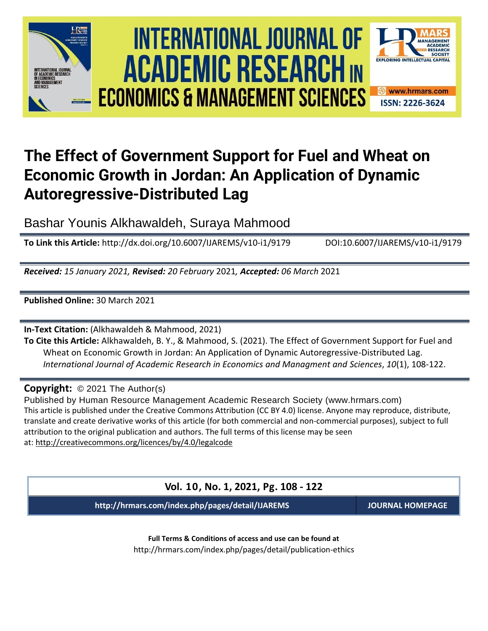





## **The Effect of Government Support for Fuel and Wheat on Economic Growth in Jordan: An Application of Dynamic Autoregressive-Distributed Lag**

Bashar Younis Alkhawaldeh, Suraya Mahmood

**To Link this Article:** http://dx.doi.org/10.6007/IJAREMS/v10-i1/9179 DOI:10.6007/IJAREMS/v10-i1/9179

*Received: 15 January 2021, Revised: 20 February* 2021*, Accepted: 06 March* 2021

**Published Online:** 30 March 2021

**In-Text Citation:** (Alkhawaldeh & Mahmood, 2021)

**To Cite this Article:** Alkhawaldeh, B. Y., & Mahmood, S. (2021). The Effect of Government Support for Fuel and Wheat on Economic Growth in Jordan: An Application of Dynamic Autoregressive-Distributed Lag. *International Journal of Academic Research in Economics and Managment and Sciences*, *10*(1), 108-122.

## **Copyright:** © 2021 The Author(s)

Published by Human Resource Management Academic Research Society (www.hrmars.com) This article is published under the Creative Commons Attribution (CC BY 4.0) license. Anyone may reproduce, distribute, translate and create derivative works of this article (for both commercial and non-commercial purposes), subject to full attribution to the original publication and authors. The full terms of this license may be seen at: <http://creativecommons.org/licences/by/4.0/legalcode>

**Vol. 10, No. 1, 2021, Pg. 108 - 122**

**http://hrmars.com/index.php/pages/detail/IJAREMS JOURNAL HOMEPAGE**

**Full Terms & Conditions of access and use can be found at** http://hrmars.com/index.php/pages/detail/publication-ethics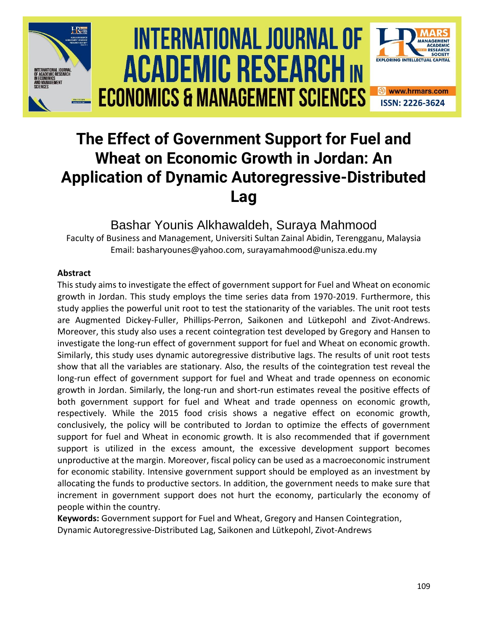

# International Journal of Academic Research economics and management sciences **Vol. 1 0 , No. 1, 2020, E-ISSN: 2226-3624 © 2020 HRMARS ACADEMIC RESEARCH IN ECONOMICS & MANAGEMENT SCIENCES**



## **The Effect of Government Support for Fuel and Wheat on Economic Growth in Jordan: An Application of Dynamic Autoregressive-Distributed Lag**

## Bashar Younis Alkhawaldeh, Suraya Mahmood

Faculty of Business and Management, Universiti Sultan Zainal Abidin, Terengganu, Malaysia Email: basharyounes@yahoo.com, surayamahmood@unisza.edu.my

## **Abstract**

This study aims to investigate the effect of government support for Fuel and Wheat on economic growth in Jordan. This study employs the time series data from 1970-2019. Furthermore, this study applies the powerful unit root to test the stationarity of the variables. The unit root tests are Augmented Dickey-Fuller, Phillips-Perron, Saikonen and Lütkepohl and Zivot-Andrews. Moreover, this study also uses a recent cointegration test developed by Gregory and Hansen to investigate the long-run effect of government support for fuel and Wheat on economic growth. Similarly, this study uses dynamic autoregressive distributive lags. The results of unit root tests show that all the variables are stationary. Also, the results of the cointegration test reveal the long-run effect of government support for fuel and Wheat and trade openness on economic growth in Jordan. Similarly, the long-run and short-run estimates reveal the positive effects of both government support for fuel and Wheat and trade openness on economic growth, respectively. While the 2015 food crisis shows a negative effect on economic growth, conclusively, the policy will be contributed to Jordan to optimize the effects of government support for fuel and Wheat in economic growth. It is also recommended that if government support is utilized in the excess amount, the excessive development support becomes unproductive at the margin. Moreover, fiscal policy can be used as a macroeconomic instrument for economic stability. Intensive government support should be employed as an investment by allocating the funds to productive sectors. In addition, the government needs to make sure that increment in government support does not hurt the economy, particularly the economy of people within the country.

**Keywords:** Government support for Fuel and Wheat, Gregory and Hansen Cointegration, Dynamic Autoregressive-Distributed Lag, Saikonen and Lütkepohl, Zivot-Andrews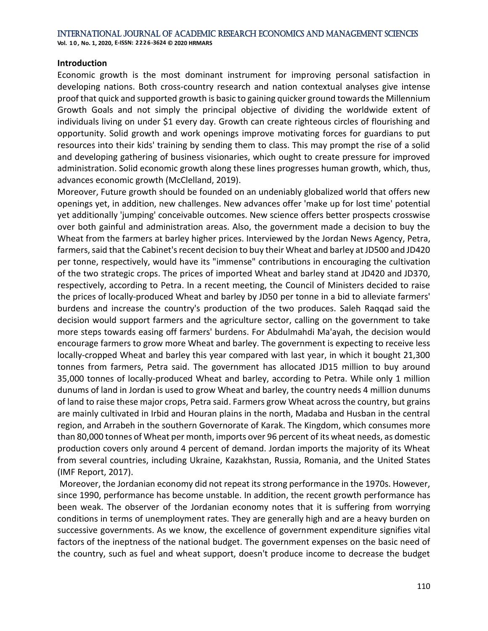#### **Introduction**

Economic growth is the most dominant instrument for improving personal satisfaction in developing nations. Both cross-country research and nation contextual analyses give intense proof that quick and supported growth is basic to gaining quicker ground towards the Millennium Growth Goals and not simply the principal objective of dividing the worldwide extent of individuals living on under \$1 every day. Growth can create righteous circles of flourishing and opportunity. Solid growth and work openings improve motivating forces for guardians to put resources into their kids' training by sending them to class. This may prompt the rise of a solid and developing gathering of business visionaries, which ought to create pressure for improved administration. Solid economic growth along these lines progresses human growth, which, thus, advances economic growth (McClelland, 2019).

Moreover, Future growth should be founded on an undeniably globalized world that offers new openings yet, in addition, new challenges. New advances offer 'make up for lost time' potential yet additionally 'jumping' conceivable outcomes. New science offers better prospects crosswise over both gainful and administration areas. Also, the government made a decision to buy the Wheat from the farmers at barley higher prices. Interviewed by the Jordan News Agency, Petra, farmers, said that the Cabinet's recent decision to buy their Wheat and barley at JD500 and JD420 per tonne, respectively, would have its "immense" contributions in encouraging the cultivation of the two strategic crops. The prices of imported Wheat and barley stand at JD420 and JD370, respectively, according to Petra. In a recent meeting, the Council of Ministers decided to raise the prices of locally-produced Wheat and barley by JD50 per tonne in a bid to alleviate farmers' burdens and increase the country's production of the two produces. Saleh Raqqad said the decision would support farmers and the agriculture sector, calling on the government to take more steps towards easing off farmers' burdens. For Abdulmahdi Ma'ayah, the decision would encourage farmers to grow more Wheat and barley. The government is expecting to receive less locally-cropped Wheat and barley this year compared with last year, in which it bought 21,300 tonnes from farmers, Petra said. The government has allocated JD15 million to buy around 35,000 tonnes of locally-produced Wheat and barley, according to Petra. While only 1 million dunums of land in Jordan is used to grow Wheat and barley, the country needs 4 million dunums of land to raise these major crops, Petra said. Farmers grow Wheat across the country, but grains are mainly cultivated in Irbid and Houran plains in the north, Madaba and Husban in the central region, and Arrabeh in the southern Governorate of Karak. The Kingdom, which consumes more than 80,000 tonnes of Wheat per month, imports over 96 percent of its wheat needs, as domestic production covers only around 4 percent of demand. Jordan imports the majority of its Wheat from several countries, including Ukraine, Kazakhstan, Russia, Romania, and the United States (IMF Report, 2017).

Moreover, the Jordanian economy did not repeat its strong performance in the 1970s. However, since 1990, performance has become unstable. In addition, the recent growth performance has been weak. The observer of the Jordanian economy notes that it is suffering from worrying conditions in terms of unemployment rates. They are generally high and are a heavy burden on successive governments. As we know, the excellence of government expenditure signifies vital factors of the ineptness of the national budget. The government expenses on the basic need of the country, such as fuel and wheat support, doesn't produce income to decrease the budget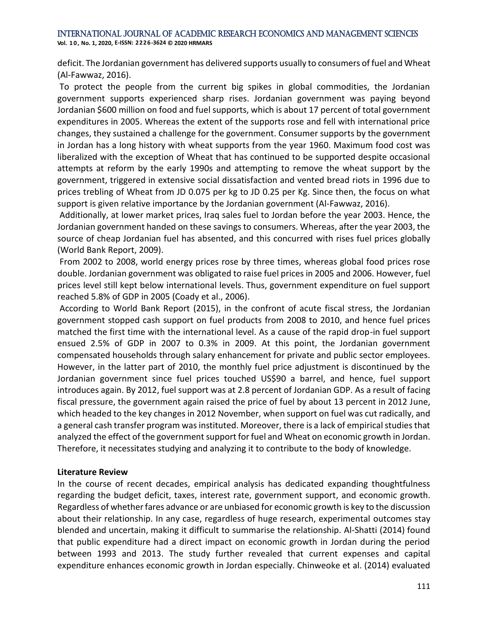**Vol. 1 0 , No. 1, 2020, E-ISSN: 2226-3624 © 2020 HRMARS**

deficit. The Jordanian government has delivered supports usually to consumers of fuel and Wheat (Al-Fawwaz, 2016).

To protect the people from the current big spikes in global commodities, the Jordanian government supports experienced sharp rises. Jordanian government was paying beyond Jordanian \$600 million on food and fuel supports, which is about 17 percent of total government expenditures in 2005. Whereas the extent of the supports rose and fell with international price changes, they sustained a challenge for the government. Consumer supports by the government in Jordan has a long history with wheat supports from the year 1960. Maximum food cost was liberalized with the exception of Wheat that has continued to be supported despite occasional attempts at reform by the early 1990s and attempting to remove the wheat support by the government, triggered in extensive social dissatisfaction and vented bread riots in 1996 due to prices trebling of Wheat from JD 0.075 per kg to JD 0.25 per Kg. Since then, the focus on what support is given relative importance by the Jordanian government (Al-Fawwaz, 2016).

Additionally, at lower market prices, Iraq sales fuel to Jordan before the year 2003. Hence, the Jordanian government handed on these savings to consumers. Whereas, after the year 2003, the source of cheap Jordanian fuel has absented, and this concurred with rises fuel prices globally (World Bank Report, 2009).

From 2002 to 2008, world energy prices rose by three times, whereas global food prices rose double. Jordanian government was obligated to raise fuel prices in 2005 and 2006. However, fuel prices level still kept below international levels. Thus, government expenditure on fuel support reached 5.8% of GDP in 2005 (Coady et al., 2006).

According to World Bank Report (2015), in the confront of acute fiscal stress, the Jordanian government stopped cash support on fuel products from 2008 to 2010, and hence fuel prices matched the first time with the international level. As a cause of the rapid drop-in fuel support ensued 2.5% of GDP in 2007 to 0.3% in 2009. At this point, the Jordanian government compensated households through salary enhancement for private and public sector employees. However, in the latter part of 2010, the monthly fuel price adjustment is discontinued by the Jordanian government since fuel prices touched US\$90 a barrel, and hence, fuel support introduces again. By 2012, fuel support was at 2.8 percent of Jordanian GDP. As a result of facing fiscal pressure, the government again raised the price of fuel by about 13 percent in 2012 June, which headed to the key changes in 2012 November, when support on fuel was cut radically, and a general cash transfer program was instituted. Moreover, there is a lack of empirical studies that analyzed the effect of the government support for fuel and Wheat on economic growth in Jordan. Therefore, it necessitates studying and analyzing it to contribute to the body of knowledge.

## **Literature Review**

In the course of recent decades, empirical analysis has dedicated expanding thoughtfulness regarding the budget deficit, taxes, interest rate, government support, and economic growth. Regardless of whether fares advance or are unbiased for economic growth is key to the discussion about their relationship. In any case, regardless of huge research, experimental outcomes stay blended and uncertain, making it difficult to summarise the relationship. Al-Shatti (2014) found that public expenditure had a direct impact on economic growth in Jordan during the period between 1993 and 2013. The study further revealed that current expenses and capital expenditure enhances economic growth in Jordan especially. Chinweoke et al. (2014) evaluated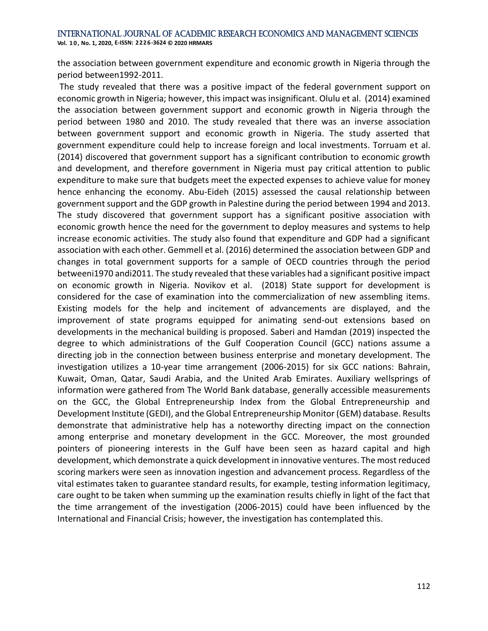the association between government expenditure and economic growth in Nigeria through the period between1992-2011.

The study revealed that there was a positive impact of the federal government support on economic growth in Nigeria; however, this impact was insignificant. Olulu et al. (2014) examined the association between government support and economic growth in Nigeria through the period between 1980 and 2010. The study revealed that there was an inverse association between government support and economic growth in Nigeria. The study asserted that government expenditure could help to increase foreign and local investments. Torruam et al. (2014) discovered that government support has a significant contribution to economic growth and development, and therefore government in Nigeria must pay critical attention to public expenditure to make sure that budgets meet the expected expenses to achieve value for money hence enhancing the economy. Abu-Eideh (2015) assessed the causal relationship between government support and the GDP growth in Palestine during the period between 1994 and 2013. The study discovered that government support has a significant positive association with economic growth hence the need for the government to deploy measures and systems to help increase economic activities. The study also found that expenditure and GDP had a significant association with each other. Gemmell et al. (2016) determined the association between GDP and changes in total government supports for a sample of OECD countries through the period betweeni1970 andi2011. The study revealed that these variables had a significant positive impact on economic growth in Nigeria. Novikov et al. (2018) State support for development is considered for the case of examination into the commercialization of new assembling items. Existing models for the help and incitement of advancements are displayed, and the improvement of state programs equipped for animating send-out extensions based on developments in the mechanical building is proposed. Saberi and Hamdan (2019) inspected the degree to which administrations of the Gulf Cooperation Council (GCC) nations assume a directing job in the connection between business enterprise and monetary development. The investigation utilizes a 10-year time arrangement (2006-2015) for six GCC nations: Bahrain, Kuwait, Oman, Qatar, Saudi Arabia, and the United Arab Emirates. Auxiliary wellsprings of information were gathered from The World Bank database, generally accessible measurements on the GCC, the Global Entrepreneurship Index from the Global Entrepreneurship and Development Institute (GEDI), and the Global Entrepreneurship Monitor (GEM) database. Results demonstrate that administrative help has a noteworthy directing impact on the connection among enterprise and monetary development in the GCC. Moreover, the most grounded pointers of pioneering interests in the Gulf have been seen as hazard capital and high development, which demonstrate a quick development in innovative ventures. The most reduced scoring markers were seen as innovation ingestion and advancement process. Regardless of the vital estimates taken to guarantee standard results, for example, testing information legitimacy, care ought to be taken when summing up the examination results chiefly in light of the fact that the time arrangement of the investigation (2006-2015) could have been influenced by the International and Financial Crisis; however, the investigation has contemplated this.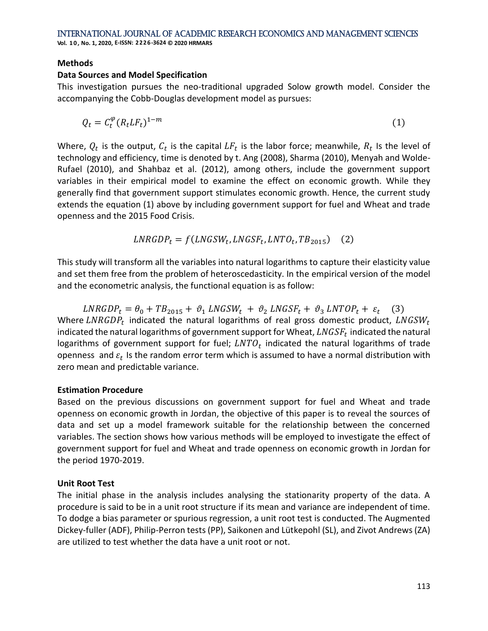**Vol. 1 0 , No. 1, 2020, E-ISSN: 2226-3624 © 2020 HRMARS**

#### **Methods**

#### **Data Sources and Model Specification**

This investigation pursues the neo-traditional upgraded Solow growth model. Consider the accompanying the Cobb-Douglas development model as pursues:

$$
Q_t = C_t^{\varphi} (R_t L F_t)^{1-m} \tag{1}
$$

Where,  $Q_t$  is the output,  $\mathcal{C}_t$  is the capital  $LF_t$  is the labor force; meanwhile,  $R_t$  Is the level of technology and efficiency, time is denoted by t. Ang (2008), Sharma (2010), Menyah and Wolde-Rufael (2010), and Shahbaz et al. (2012), among others, include the government support variables in their empirical model to examine the effect on economic growth. While they generally find that government support stimulates economic growth. Hence, the current study extends the equation (1) above by including government support for fuel and Wheat and trade openness and the 2015 Food Crisis.

$$
LNRGDP_t = f(LNGSW_t, LNGSF_t, LNTO_t, TB_{2015}) \quad (2)
$$

This study will transform all the variables into natural logarithms to capture their elasticity value and set them free from the problem of heteroscedasticity. In the empirical version of the model and the econometric analysis, the functional equation is as follow:

 $LNRGDP_t = \theta_0 + TB_{2015} + \vartheta_1 LNGSW_t + \vartheta_2 LNGSF_t + \vartheta_3 LNTOP_t + \varepsilon_t$  (3) Where  $\emph{LNRGDP}_t$  indicated the natural logarithms of real gross domestic product,  $\emph{LNGSW}_t$ indicated the natural logarithms of government support for Wheat,  $\it{LNGSF}_{t}$  indicated the natural logarithms of government support for fuel;  $\emph{LNTO}_{t}$  indicated the natural logarithms of trade openness and  $\varepsilon_t$  is the random error term which is assumed to have a normal distribution with zero mean and predictable variance.

#### **Estimation Procedure**

Based on the previous discussions on government support for fuel and Wheat and trade openness on economic growth in Jordan, the objective of this paper is to reveal the sources of data and set up a model framework suitable for the relationship between the concerned variables. The section shows how various methods will be employed to investigate the effect of government support for fuel and Wheat and trade openness on economic growth in Jordan for the period 1970-2019.

#### **Unit Root Test**

The initial phase in the analysis includes analysing the stationarity property of the data. A procedure is said to be in a unit root structure if its mean and variance are independent of time. To dodge a bias parameter or spurious regression, a unit root test is conducted. The Augmented Dickey-fuller (ADF), Philip-Perron tests (PP), Saikonen and Lütkepohl (SL), and Zivot Andrews (ZA) are utilized to test whether the data have a unit root or not.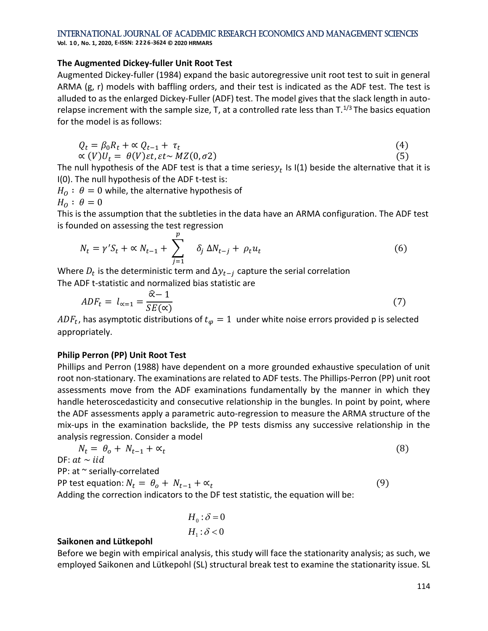**Vol. 1 0 , No. 1, 2020, E-ISSN: 2226-3624 © 2020 HRMARS**

#### **The Augmented Dickey-fuller Unit Root Test**

Augmented Dickey-fuller (1984) expand the basic autoregressive unit root test to suit in general ARMA (g, r) models with baffling orders, and their test is indicated as the ADF test. The test is alluded to as the enlarged Dickey-Fuller (ADF) test. The model gives that the slack length in autorelapse increment with the sample size, T, at a controlled rate less than  $T<sup>1/3</sup>$ The basics equation for the model is as follows:

$$
Q_t = \beta_0 R_t + \alpha Q_{t-1} + \tau_t
$$
  
\n
$$
\alpha (V)U_t = \theta (V)\varepsilon t, \varepsilon t \sim MZ(0, \sigma 2)
$$
\n(4)

The null hypothesis of the ADF test is that a time series $y_t$  Is I(1) beside the alternative that it is I(0). The null hypothesis of the ADF t-test is:

 $H_0$ :  $\theta = 0$  while, the alternative hypothesis of  $H_0$ :  $\theta = 0$ 

This is the assumption that the subtleties in the data have an ARMA configuration. The ADF test is founded on assessing the test regression

$$
N_t = \gamma' S_t + \alpha N_{t-1} + \sum_{j=1}^p \delta_j \Delta N_{t-j} + \rho_t u_t \tag{6}
$$

Where  $D_t$  is the deterministic term and  $\Delta {\rm y}_{t-j}$  capture the serial correlation The ADF t-statistic and normalized bias statistic are

$$
ADF_t = l_{\alpha=1} = \frac{\hat{\alpha} - 1}{SE(\alpha)}\tag{7}
$$

 $\mathit{ADF}_t$ , has asymptotic distributions of  $t_\varphi=1\;$  under white noise errors provided p is selected appropriately.

#### **Philip Perron (PP) Unit Root Test**

Phillips and Perron (1988) have dependent on a more grounded exhaustive speculation of unit root non-stationary. The examinations are related to ADF tests. The Phillips-Perron (PP) unit root assessments move from the ADF examinations fundamentally by the manner in which they handle heteroscedasticity and consecutive relationship in the bungles. In point by point, where the ADF assessments apply a parametric auto-regression to measure the ARMA structure of the mix-ups in the examination backslide, the PP tests dismiss any successive relationship in the analysis regression. Consider a model

$$
N_t = \theta_o + N_{t-1} + \alpha_t \tag{8}
$$

DF:  $at \sim iid$ 

PP: at ~ serially-correlated

PP test equation:  $N_t = \theta_o + N_{t-1} + \alpha_t$  (9) Adding the correction indicators to the DF test statistic, the equation will be:

$$
H_0: \delta = 0
$$
  

$$
H_1: \delta < 0
$$

#### **Saikonen and Lütkepohl**

Before we begin with empirical analysis, this study will face the stationarity analysis; as such, we employed Saikonen and Lütkepohl (SL) structural break test to examine the stationarity issue. SL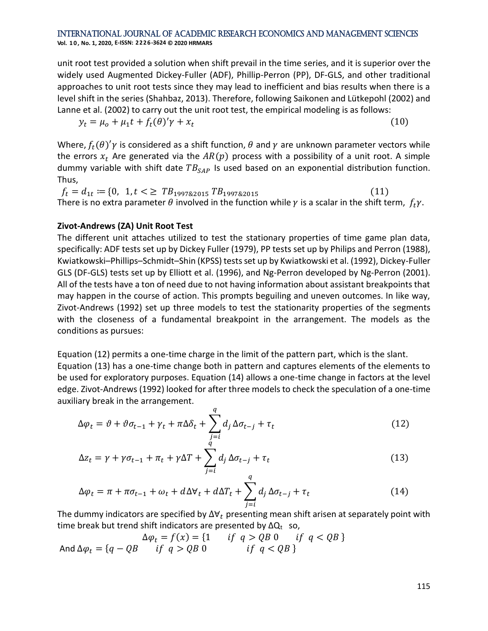unit root test provided a solution when shift prevail in the time series, and it is superior over the widely used Augmented Dickey-Fuller (ADF), Phillip-Perron (PP), DF-GLS, and other traditional approaches to unit root tests since they may lead to inefficient and bias results when there is a level shift in the series (Shahbaz, 2013). Therefore, following Saikonen and Lütkepohl (2002) and Lanne et al. (2002) to carry out the unit root test, the empirical modeling is as follows:

$$
y_t = \mu_0 + \mu_1 t + f_t(\theta)'\gamma + x_t \tag{10}
$$

Where,  $f_t(\theta)'\gamma$  is considered as a shift function,  $\theta$  and  $\gamma$  are unknown parameter vectors while the errors  $x_t$  Are generated via the  $AR(p)$  process with a possibility of a unit root. A simple dummy variable with shift date  $TB_{SAP}$  is used based on an exponential distribution function. Thus,

 $f_t = d_{1t} \coloneqq \{0, 1, t \leq \geq TB_{1997\&2015} T B_{1997\&2015}$  (11) There is no extra parameter  $\theta$  involved in the function while  $\gamma$  is a scalar in the shift term,  $f_t \gamma$ .

#### **Zivot-Andrews (ZA) Unit Root Test**

The different unit attaches utilized to test the stationary properties of time game plan data, specifically: ADF tests set up by Dickey Fuller (1979), PP tests set up by Philips and Perron (1988), Kwiatkowski–Phillips–Schmidt–Shin (KPSS) tests set up by Kwiatkowski et al. (1992), Dickey-Fuller GLS (DF-GLS) tests set up by Elliott et al. (1996), and Ng-Perron developed by Ng-Perron (2001). All of the tests have a ton of need due to not having information about assistant breakpoints that may happen in the course of action. This prompts beguiling and uneven outcomes. In like way, Zivot-Andrews (1992) set up three models to test the stationarity properties of the segments with the closeness of a fundamental breakpoint in the arrangement. The models as the conditions as pursues:

Equation (12) permits a one-time charge in the limit of the pattern part, which is the slant. Equation (13) has a one-time change both in pattern and captures elements of the elements to be used for exploratory purposes. Equation (14) allows a one-time change in factors at the level edge. Zivot-Andrews (1992) looked for after three models to check the speculation of a one-time auxiliary break in the arrangement.

$$
\Delta \varphi_t = \vartheta + \vartheta \sigma_{t-1} + \gamma_t + \pi \Delta \delta_t + \sum_{\substack{j=i \\ q}}^q d_j \Delta \sigma_{t-j} + \tau_t
$$
\n(12)

$$
\Delta z_t = \gamma + \gamma \sigma_{t-1} + \pi_t + \gamma \Delta T + \sum_{j=i}^{q} d_j \Delta \sigma_{t-j} + \tau_t
$$
\n(13)

$$
\Delta \varphi_t = \pi + \pi \sigma_{t-1} + \omega_t + d\Delta \forall_t + d\Delta T_t + \sum_{j=i}^q d_j \Delta \sigma_{t-j} + \tau_t
$$
\n(14)

The dummy indicators are specified by  $\Delta V_t$  presenting mean shift arisen at separately point with time break but trend shift indicators are presented by  $\Delta Q_t$  so,

$$
\Delta \varphi_t = f(x) = \{1 \quad \text{if } q > QB \quad \text{if } q < QB \}
$$
  
And 
$$
\Delta \varphi_t = \{q - QB \quad \text{if } q > QB \quad \text{if } q < QB \}
$$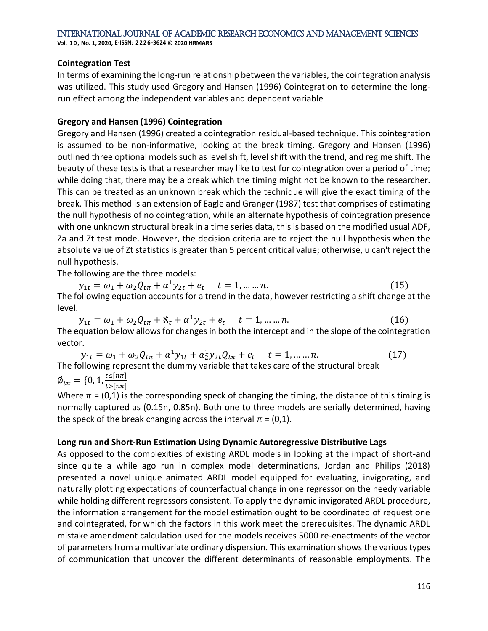**Vol. 1 0 , No. 1, 2020, E-ISSN: 2226-3624 © 2020 HRMARS**

### **Cointegration Test**

In terms of examining the long-run relationship between the variables, the cointegration analysis was utilized. This study used Gregory and Hansen (1996) Cointegration to determine the longrun effect among the independent variables and dependent variable

## **Gregory and Hansen (1996) Cointegration**

Gregory and Hansen (1996) created a cointegration residual-based technique. This cointegration is assumed to be non-informative, looking at the break timing. Gregory and Hansen (1996) outlined three optional models such as level shift, level shift with the trend, and regime shift. The beauty of these tests is that a researcher may like to test for cointegration over a period of time; while doing that, there may be a break which the timing might not be known to the researcher. This can be treated as an unknown break which the technique will give the exact timing of the break. This method is an extension of Eagle and Granger (1987) test that comprises of estimating the null hypothesis of no cointegration, while an alternate hypothesis of cointegration presence with one unknown structural break in a time series data, this is based on the modified usual ADF, Za and Zt test mode. However, the decision criteria are to reject the null hypothesis when the absolute value of Zt statistics is greater than 5 percent critical value; otherwise, u can't reject the null hypothesis.

The following are the three models:

 $y_{1t} = \omega_1 + \omega_2 Q_{t\pi} + \alpha^1 y_{2t} + e_t \quad t = 1, \dots, n.$  (15) The following equation accounts for a trend in the data, however restricting a shift change at the level.

 $y_{1t} = \omega_1 + \omega_2 Q_{t\pi} + \aleph_t + \alpha^1 y_{2t} + e_t \quad t = 1, \dots, n.$  (16) The equation below allows for changes in both the intercept and in the slope of the cointegration vector.

 $y_{1t} = \omega_1 + \omega_2 Q_{t\pi} + \alpha^1 y_{1t} + \alpha^1 z_{2t} Q_{t\pi} + e_t \quad t = 1, \dots, n.$  (17) The following represent the dummy variable that takes care of the structural break  $\emptyset_{t\pi} = \{0, 1, \frac{t \leq [n\pi]}{t > [n\pi]} \}$  $t > [n\pi]$ 

Where  $\pi$  = (0,1) is the corresponding speck of changing the timing, the distance of this timing is normally captured as (0.15n, 0.85n). Both one to three models are serially determined, having the speck of the break changing across the interval  $\pi = (0,1)$ .

## **Long run and Short-Run Estimation Using Dynamic Autoregressive Distributive Lags**

As opposed to the complexities of existing ARDL models in looking at the impact of short-and since quite a while ago run in complex model determinations, Jordan and Philips (2018) presented a novel unique animated ARDL model equipped for evaluating, invigorating, and naturally plotting expectations of counterfactual change in one regressor on the needy variable while holding different regressors consistent. To apply the dynamic invigorated ARDL procedure, the information arrangement for the model estimation ought to be coordinated of request one and cointegrated, for which the factors in this work meet the prerequisites. The dynamic ARDL mistake amendment calculation used for the models receives 5000 re-enactments of the vector of parameters from a multivariate ordinary dispersion. This examination shows the various types of communication that uncover the different determinants of reasonable employments. The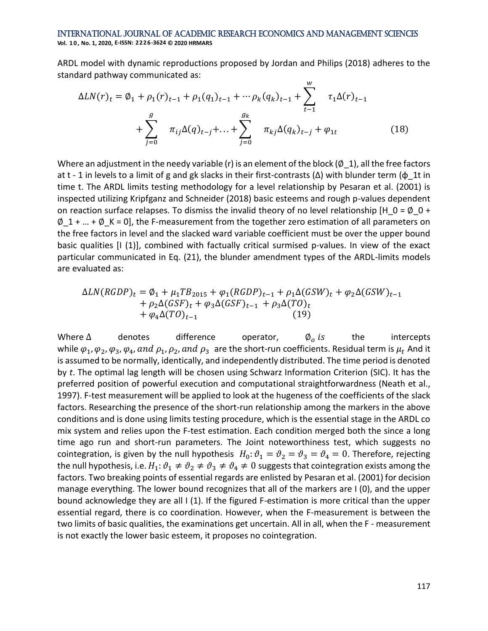ARDL model with dynamic reproductions proposed by Jordan and Philips (2018) adheres to the standard pathway communicated as:  $\overline{M}$ 

$$
\Delta LN(r)_t = \emptyset_1 + \rho_1(r)_{t-1} + \rho_1(q_1)_{t-1} + \cdots + \rho_k(q_k)_{t-1} + \sum_{t-1}^N \tau_1 \Delta(r)_{t-1} + \sum_{j=0}^g \pi_{ij} \Delta(q)_{t-j} + \cdots + \sum_{j=0}^g \pi_{kj} \Delta(q_k)_{t-j} + \varphi_{1t}
$$
\n(18)

Where an adjustment in the needy variable (r) is an element of the block ( $\emptyset$  1), all the free factors at t - 1 in levels to a limit of g and gk slacks in their first-contrasts ( $\Delta$ ) with blunder term ( $\phi$  1t in time t. The ARDL limits testing methodology for a level relationship by Pesaran et al. (2001) is inspected utilizing Kripfganz and Schneider (2018) basic esteems and rough p-values dependent on reaction surface relapses. To dismiss the invalid theory of no level relationship [H\_0 =  $\emptyset$  0 +  $\emptyset$  1 + ... +  $\emptyset$  K = 0], the F-measurement from the together zero estimation of all parameters on the free factors in level and the slacked ward variable coefficient must be over the upper bound basic qualities [I (1)], combined with factually critical surmised p-values. In view of the exact particular communicated in Eq. (21), the blunder amendment types of the ARDL-limits models are evaluated as:

$$
\Delta LN(RGDP)_t = \emptyset_1 + \mu_1 TB_{2015} + \varphi_1 (RGDP)_{t-1} + \rho_1 \Delta (GSW)_t + \varphi_2 \Delta (GSW)_{t-1} + \rho_2 \Delta (GSF)_t + \varphi_3 \Delta (GSF)_{t-1} + \rho_3 \Delta (TO)_t + \varphi_4 \Delta (TO)_{t-1}
$$
(19)

Where  $\Delta$  denotes difference operator,  $\phi_o$  is the intercepts while  $\varphi_1, \varphi_2, \varphi_3, \varphi_4$ , and  $\rho_1, \rho_2$ , and  $\rho_3$  are the short-run coefficients. Residual term is  $\mu_t$  And it is assumed to be normally, identically, and independently distributed. The time period is denoted by *t*. The optimal lag length will be chosen using Schwarz Information Criterion (SIC). It has the preferred position of powerful execution and computational straightforwardness (Neath et al., 1997). F-test measurement will be applied to look at the hugeness of the coefficients of the slack factors. Researching the presence of the short-run relationship among the markers in the above conditions and is done using limits testing procedure, which is the essential stage in the ARDL co mix system and relies upon the F-test estimation. Each condition merged both the since a long time ago run and short-run parameters. The Joint noteworthiness test, which suggests no cointegration, is given by the null hypothesis  $H_0: \vartheta_1 = \vartheta_2 = \vartheta_3 = \vartheta_4 = 0$ . Therefore, rejecting the null hypothesis, i.e.  $H_1: \vartheta_1 \neq \vartheta_2 \neq \vartheta_3 \neq \vartheta_4 \neq 0$  suggests that cointegration exists among the factors. Two breaking points of essential regards are enlisted by Pesaran et al. (2001) for decision manage everything. The lower bound recognizes that all of the markers are I (0), and the upper bound acknowledge they are all I (1). If the figured F-estimation is more critical than the upper essential regard, there is co coordination. However, when the F-measurement is between the two limits of basic qualities, the examinations get uncertain. All in all, when the F - measurement is not exactly the lower basic esteem, it proposes no cointegration.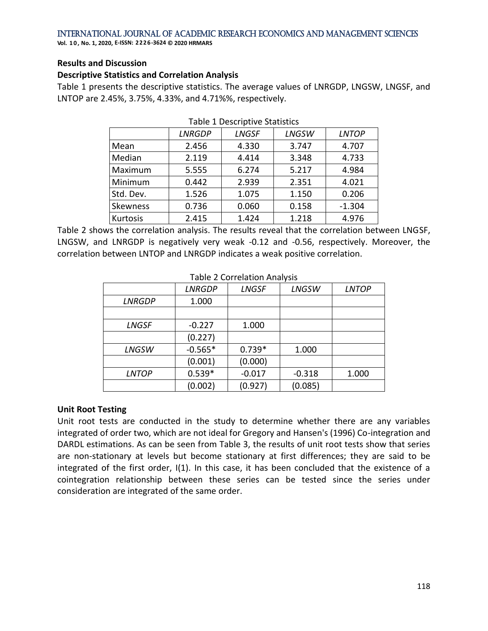**Vol. 1 0 , No. 1, 2020, E-ISSN: 2226-3624 © 2020 HRMARS**

#### **Results and Discussion**

#### **Descriptive Statistics and Correlation Analysis**

Table 1 presents the descriptive statistics. The average values of LNRGDP, LNGSW, LNGSF, and LNTOP are 2.45%, 3.75%, 4.33%, and 4.71%%, respectively.

|           | <b>LNRGDP</b> | <b>LNGSF</b> | LNGSW | <b>LNTOP</b> |
|-----------|---------------|--------------|-------|--------------|
| Mean      | 2.456         | 4.330        | 3.747 | 4.707        |
| Median    | 2.119         | 4.414        | 3.348 | 4.733        |
| Maximum   | 5.555         | 6.274        | 5.217 | 4.984        |
| Minimum   | 0.442         | 2.939        | 2.351 | 4.021        |
| Std. Dev. | 1.526         | 1.075        | 1.150 | 0.206        |
| Skewness  | 0.736         | 0.060        | 0.158 | $-1.304$     |
| Kurtosis  | 2.415         | 1.424        | 1.218 | 4.976        |

|  | Table 1 Descriptive Statistics |  |
|--|--------------------------------|--|
|--|--------------------------------|--|

Table 2 shows the correlation analysis. The results reveal that the correlation between LNGSF, LNGSW, and LNRGDP is negatively very weak -0.12 and -0.56, respectively. Moreover, the correlation between LNTOP and LNRGDP indicates a weak positive correlation.

|               | <b>LNRGDP</b> | <b>LNGSF</b> | LNGSW    | <b>LNTOP</b> |
|---------------|---------------|--------------|----------|--------------|
| <b>LNRGDP</b> | 1.000         |              |          |              |
|               |               |              |          |              |
| <b>LNGSF</b>  | $-0.227$      | 1.000        |          |              |
|               | (0.227)       |              |          |              |
| LNGSW         | $-0.565*$     | $0.739*$     | 1.000    |              |
|               | (0.001)       | (0.000)      |          |              |
| <b>LNTOP</b>  | $0.539*$      | $-0.017$     | $-0.318$ | 1.000        |
|               | (0.002)       | (0.927)      | (0.085)  |              |

#### Table 2 Correlation Analysis

#### **Unit Root Testing**

Unit root tests are conducted in the study to determine whether there are any variables integrated of order two, which are not ideal for Gregory and Hansen's (1996) Co-integration and DARDL estimations. As can be seen from Table 3, the results of unit root tests show that series are non-stationary at levels but become stationary at first differences; they are said to be integrated of the first order, I(1). In this case, it has been concluded that the existence of a cointegration relationship between these series can be tested since the series under consideration are integrated of the same order.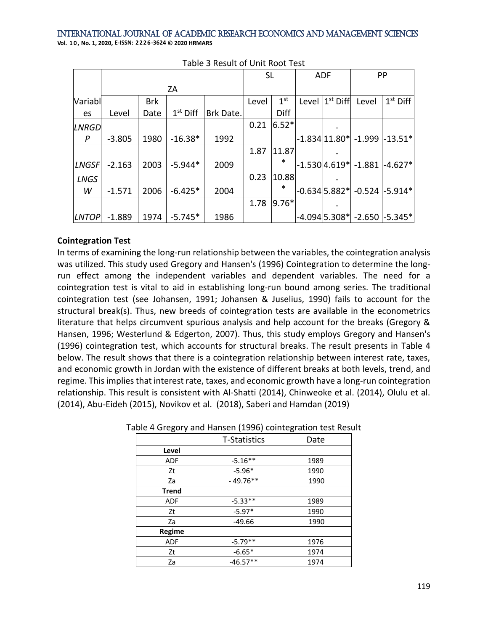Variabl es ZA SL | ADF | PP Level Brk Date  $1<sup>st</sup>$  Diff Brk Date. Level  $1<sup>st</sup>$ Diff Level  $\left| \mathbb{1}^{\text{st}} \text{ Diff} \right|$  Level  $\left| \mathbb{1} \right|$ 1<sup>st</sup> Diff *LNRGD P* | -3.805 | 1980 | -16.38\* | 1992  $0.21$  6.52\* 1.834 11.80\* -  $-1.999$   $-13.51*$ *LNGSF* -2.163 2003 -5.944\* 2009 1.87 11.87  $*$  -1.530 4.619\* -  $-1.881$   $-4.627*$ *LNGS W* | -1.571 | 2006 | -6.425\* | 2004 0.23 10.88  $0.634$  5.882\* -  $-0.524$   $-5.914*$ *LNTOP* -1.889 1974 -5.745\* 1986  $1.78$  9.76\* -4.094 5.308\* -  $-2.650$   $-5.345*$ 

Table 3 Result of Unit Root Test

#### **Cointegration Test**

In terms of examining the long-run relationship between the variables, the cointegration analysis was utilized. This study used Gregory and Hansen's (1996) Cointegration to determine the longrun effect among the independent variables and dependent variables. The need for a cointegration test is vital to aid in establishing long-run bound among series. The traditional cointegration test (see Johansen, 1991; Johansen & Juselius, 1990) fails to account for the structural break(s). Thus, new breeds of cointegration tests are available in the econometrics literature that helps circumvent spurious analysis and help account for the breaks (Gregory & Hansen, 1996; Westerlund & Edgerton, 2007). Thus, this study employs Gregory and Hansen's (1996) cointegration test, which accounts for structural breaks. The result presents in Table 4 below. The result shows that there is a cointegration relationship between interest rate, taxes, and economic growth in Jordan with the existence of different breaks at both levels, trend, and regime. This implies that interest rate, taxes, and economic growth have a long-run cointegration relationship. This result is consistent with Al-Shatti (2014), Chinweoke et al. (2014), Olulu et al. (2014), Abu-Eideh (2015), Novikov et al. (2018), Saberi and Hamdan (2019)

|              | $1000$ . Si ego, $\mu$ and mansem $(2555)$ connegration test nest |      |
|--------------|-------------------------------------------------------------------|------|
|              | <b>T-Statistics</b>                                               | Date |
| Level        |                                                                   |      |
| <b>ADF</b>   | $-5.16**$                                                         | 1989 |
| Zt           | $-5.96*$                                                          | 1990 |
| Za           | $-49.76**$                                                        | 1990 |
| <b>Trend</b> |                                                                   |      |
| <b>ADF</b>   | $-5.33**$                                                         | 1989 |
| Zt           | $-5.97*$                                                          | 1990 |
| Za           | $-49.66$                                                          | 1990 |
| Regime       |                                                                   |      |
| <b>ADF</b>   | $-5.79**$                                                         | 1976 |
| Ζt           | $-6.65*$                                                          | 1974 |
| Za           | $-46.57**$                                                        | 1974 |

Table 4 Gregory and Hansen (1996) cointegration test Result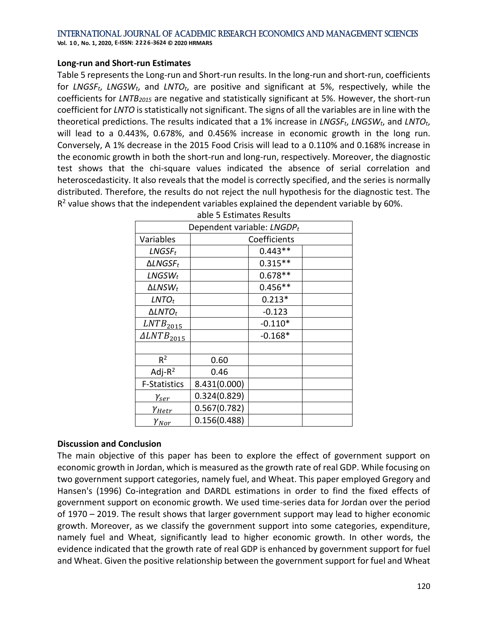**Vol. 1 0 , No. 1, 2020, E-ISSN: 2226-3624 © 2020 HRMARS**

#### **Long-run and Short-run Estimates**

Table 5 represents the Long-run and Short-run results. In the long-run and short-run, coefficients for *LNGSFt*, *LNGSWt*, and *LNTOt*, are positive and significant at 5%, respectively, while the coefficients for *LNTB<sup>2015</sup>* are negative and statistically significant at 5%. However, the short-run coefficient for *LNTO* is statistically not significant. The signs of all the variables are in line with the theoretical predictions. The results indicated that a 1% increase in *LNGSFt*, *LNGSWt*, and *LNTOt*, will lead to a 0.443%, 0.678%, and 0.456% increase in economic growth in the long run. Conversely, A 1% decrease in the 2015 Food Crisis will lead to a 0.110% and 0.168% increase in the economic growth in both the short-run and long-run, respectively. Moreover, the diagnostic test shows that the chi-square values indicated the absence of serial correlation and heteroscedasticity. It also reveals that the model is correctly specified, and the series is normally distributed. Therefore, the results do not reject the null hypothesis for the diagnostic test. The  $R<sup>2</sup>$  value shows that the independent variables explained the dependent variable by 60%.

| Dependent variable: LNGDPt  |              |           |  |  |
|-----------------------------|--------------|-----------|--|--|
| Variables                   | Coefficients |           |  |  |
| $LNGSF_t$                   | $0.443**$    |           |  |  |
| $\Delta LNGSF_t$            |              | $0.315**$ |  |  |
| $LNGSW_t$                   |              | $0.678**$ |  |  |
| $\Delta L$ NSW <sub>t</sub> |              | $0.456**$ |  |  |
| $LNTO_t$                    |              | $0.213*$  |  |  |
| $\Delta L N T O_t$          |              | $-0.123$  |  |  |
| LNTB <sub>2015</sub>        |              | $-0.110*$ |  |  |
| ALNTB <sub>2015</sub>       |              | $-0.168*$ |  |  |
|                             |              |           |  |  |
| R <sup>2</sup>              | 0.60         |           |  |  |
| Adj- $R^2$                  | 0.46         |           |  |  |
| <b>F-Statistics</b>         | 8.431(0.000) |           |  |  |
| $\gamma_{ser}$              | 0.324(0.829) |           |  |  |
| $\gamma_{Hetr}$             | 0.567(0.782) |           |  |  |
| $\gamma_{Nor}$              | 0.156(0.488) |           |  |  |

|  | able 5 Estimates Results |  |
|--|--------------------------|--|
|--|--------------------------|--|

### **Discussion and Conclusion**

The main objective of this paper has been to explore the effect of government support on economic growth in Jordan, which is measured as the growth rate of real GDP. While focusing on two government support categories, namely fuel, and Wheat. This paper employed Gregory and Hansen's (1996) Co-integration and DARDL estimations in order to find the fixed effects of government support on economic growth. We used time-series data for Jordan over the period of 1970 – 2019. The result shows that larger government support may lead to higher economic growth. Moreover, as we classify the government support into some categories, expenditure, namely fuel and Wheat, significantly lead to higher economic growth. In other words, the evidence indicated that the growth rate of real GDP is enhanced by government support for fuel and Wheat. Given the positive relationship between the government support for fuel and Wheat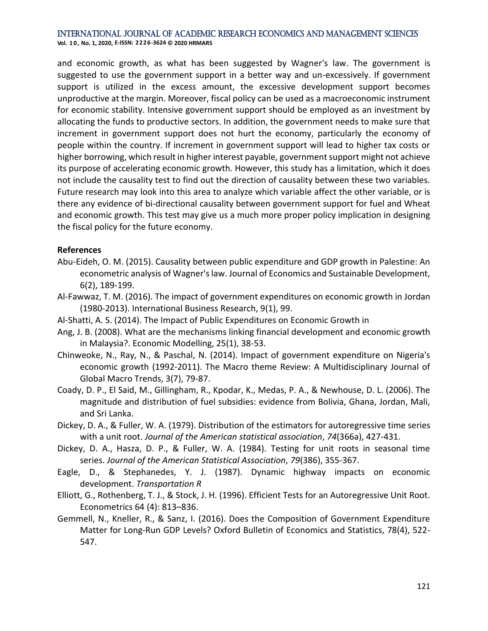and economic growth, as what has been suggested by Wagner's law. The government is suggested to use the government support in a better way and un-excessively. If government support is utilized in the excess amount, the excessive development support becomes unproductive at the margin. Moreover, fiscal policy can be used as a macroeconomic instrument for economic stability. Intensive government support should be employed as an investment by allocating the funds to productive sectors. In addition, the government needs to make sure that increment in government support does not hurt the economy, particularly the economy of people within the country. If increment in government support will lead to higher tax costs or higher borrowing, which result in higher interest payable, government support might not achieve its purpose of accelerating economic growth. However, this study has a limitation, which it does not include the causality test to find out the direction of causality between these two variables. Future research may look into this area to analyze which variable affect the other variable, or is there any evidence of bi-directional causality between government support for fuel and Wheat and economic growth. This test may give us a much more proper policy implication in designing the fiscal policy for the future economy.

### **References**

- Abu-Eideh, O. M. (2015). Causality between public expenditure and GDP growth in Palestine: An econometric analysis of Wagner's law. Journal of Economics and Sustainable Development, 6(2), 189-199.
- Al-Fawwaz, T. M. (2016). The impact of government expenditures on economic growth in Jordan (1980-2013). International Business Research, 9(1), 99.
- Al-Shatti, A. S. (2014). The Impact of Public Expenditures on Economic Growth in
- Ang, J. B. (2008). What are the mechanisms linking financial development and economic growth in Malaysia?. Economic Modelling, 25(1), 38-53.
- Chinweoke, N., Ray, N., & Paschal, N. (2014). Impact of government expenditure on Nigeria's economic growth (1992-2011). The Macro theme Review: A Multidisciplinary Journal of Global Macro Trends, 3(7), 79-87.
- Coady, D. P., El Said, M., Gillingham, R., Kpodar, K., Medas, P. A., & Newhouse, D. L. (2006). The magnitude and distribution of fuel subsidies: evidence from Bolivia, Ghana, Jordan, Mali, and Sri Lanka.
- Dickey, D. A., & Fuller, W. A. (1979). Distribution of the estimators for autoregressive time series with a unit root. *Journal of the American statistical association*, *74*(366a), 427-431.
- Dickey, D. A., Hasza, D. P., & Fuller, W. A. (1984). Testing for unit roots in seasonal time series. *Journal of the American Statistical Association*, *79*(386), 355-367.
- Eagle, D., & Stephanedes, Y. J. (1987). Dynamic highway impacts on economic development. *Transportation R*
- Elliott, G., Rothenberg, T. J., & Stock, J. H. (1996). Efficient Tests for an Autoregressive Unit Root. Econometrics 64 (4): 813–836.
- Gemmell, N., Kneller, R., & Sanz, I. (2016). Does the Composition of Government Expenditure Matter for Long‐Run GDP Levels? Oxford Bulletin of Economics and Statistics, 78(4), 522- 547.